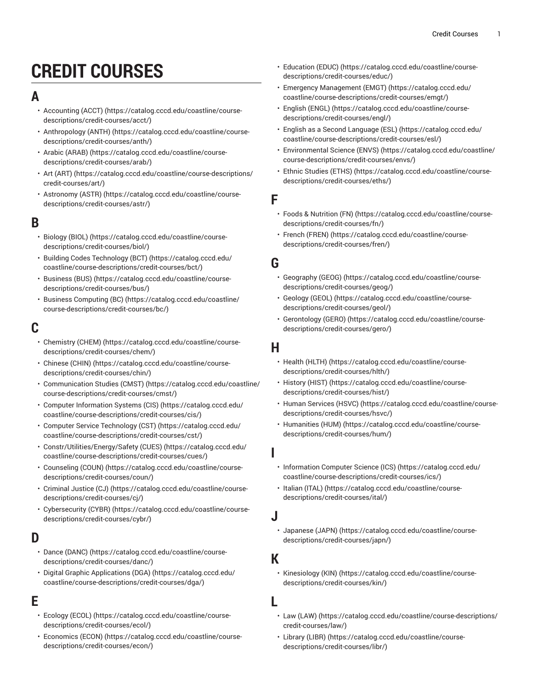# **CREDIT COURSES**

## **A**

- [Accounting](https://catalog.cccd.edu/coastline/course-descriptions/credit-courses/acct/) (ACCT) ([https://catalog.cccd.edu/coastline/course](https://catalog.cccd.edu/coastline/course-descriptions/credit-courses/acct/)[descriptions/credit-courses/acct/](https://catalog.cccd.edu/coastline/course-descriptions/credit-courses/acct/))
- [Anthropology](https://catalog.cccd.edu/coastline/course-descriptions/credit-courses/anth/) (ANTH) ([https://catalog.cccd.edu/coastline/course](https://catalog.cccd.edu/coastline/course-descriptions/credit-courses/anth/)[descriptions/credit-courses/anth/\)](https://catalog.cccd.edu/coastline/course-descriptions/credit-courses/anth/)
- [Arabic \(ARAB\)](https://catalog.cccd.edu/coastline/course-descriptions/credit-courses/arab/) ([https://catalog.cccd.edu/coastline/course](https://catalog.cccd.edu/coastline/course-descriptions/credit-courses/arab/)[descriptions/credit-courses/arab/\)](https://catalog.cccd.edu/coastline/course-descriptions/credit-courses/arab/)
- Art [\(ART\)](https://catalog.cccd.edu/coastline/course-descriptions/credit-courses/art/) ([https://catalog.cccd.edu/coastline/course-descriptions/](https://catalog.cccd.edu/coastline/course-descriptions/credit-courses/art/) [credit-courses/art/\)](https://catalog.cccd.edu/coastline/course-descriptions/credit-courses/art/)
- [Astronomy](https://catalog.cccd.edu/coastline/course-descriptions/credit-courses/astr/) (ASTR) [\(https://catalog.cccd.edu/coastline/course](https://catalog.cccd.edu/coastline/course-descriptions/credit-courses/astr/)[descriptions/credit-courses/astr/\)](https://catalog.cccd.edu/coastline/course-descriptions/credit-courses/astr/)

# **B**

- [Biology \(BIOL\)](https://catalog.cccd.edu/coastline/course-descriptions/credit-courses/biol/) ([https://catalog.cccd.edu/coastline/course](https://catalog.cccd.edu/coastline/course-descriptions/credit-courses/biol/)[descriptions/credit-courses/biol/\)](https://catalog.cccd.edu/coastline/course-descriptions/credit-courses/biol/)
- Building Codes [Technology](https://catalog.cccd.edu/coastline/course-descriptions/credit-courses/bct/) (BCT) [\(https://catalog.cccd.edu/](https://catalog.cccd.edu/coastline/course-descriptions/credit-courses/bct/) [coastline/course-descriptions/credit-courses/bct/](https://catalog.cccd.edu/coastline/course-descriptions/credit-courses/bct/))
- [Business \(BUS\) \(https://catalog.cccd.edu/coastline/course](https://catalog.cccd.edu/coastline/course-descriptions/credit-courses/bus/)[descriptions/credit-courses/bus/\)](https://catalog.cccd.edu/coastline/course-descriptions/credit-courses/bus/)
- Business [Computing](https://catalog.cccd.edu/coastline/course-descriptions/credit-courses/bc/) (BC) ([https://catalog.cccd.edu/coastline/](https://catalog.cccd.edu/coastline/course-descriptions/credit-courses/bc/) [course-descriptions/credit-courses/bc/](https://catalog.cccd.edu/coastline/course-descriptions/credit-courses/bc/))

# **C**

- [Chemistry](https://catalog.cccd.edu/coastline/course-descriptions/credit-courses/chem/) (CHEM) ([https://catalog.cccd.edu/coastline/course](https://catalog.cccd.edu/coastline/course-descriptions/credit-courses/chem/)[descriptions/credit-courses/chem/\)](https://catalog.cccd.edu/coastline/course-descriptions/credit-courses/chem/)
- [Chinese \(CHIN\) \(https://catalog.cccd.edu/coastline/course](https://catalog.cccd.edu/coastline/course-descriptions/credit-courses/chin/)[descriptions/credit-courses/chin/](https://catalog.cccd.edu/coastline/course-descriptions/credit-courses/chin/))
- [Communication Studies \(CMST\)](https://catalog.cccd.edu/coastline/course-descriptions/credit-courses/cmst/) [\(https://catalog.cccd.edu/coastline/](https://catalog.cccd.edu/coastline/course-descriptions/credit-courses/cmst/) [course-descriptions/credit-courses/cmst/\)](https://catalog.cccd.edu/coastline/course-descriptions/credit-courses/cmst/)
- [Computer Information Systems \(CIS\)](https://catalog.cccd.edu/coastline/course-descriptions/credit-courses/cis/) [\(https://catalog.cccd.edu/](https://catalog.cccd.edu/coastline/course-descriptions/credit-courses/cis/) [coastline/course-descriptions/credit-courses/cis/](https://catalog.cccd.edu/coastline/course-descriptions/credit-courses/cis/))
- Computer Service [Technology](https://catalog.cccd.edu/coastline/course-descriptions/credit-courses/cst/) (CST) [\(https://catalog.cccd.edu/](https://catalog.cccd.edu/coastline/course-descriptions/credit-courses/cst/) [coastline/course-descriptions/credit-courses/cst/\)](https://catalog.cccd.edu/coastline/course-descriptions/credit-courses/cst/)
- [Constr/Utilities/Energy/Safety](https://catalog.cccd.edu/coastline/course-descriptions/credit-courses/cues/) (CUES) ([https://catalog.cccd.edu/](https://catalog.cccd.edu/coastline/course-descriptions/credit-courses/cues/) [coastline/course-descriptions/credit-courses/cues/\)](https://catalog.cccd.edu/coastline/course-descriptions/credit-courses/cues/)
- [Counseling \(COUN\)](https://catalog.cccd.edu/coastline/course-descriptions/credit-courses/coun/) ([https://catalog.cccd.edu/coastline/course](https://catalog.cccd.edu/coastline/course-descriptions/credit-courses/coun/)[descriptions/credit-courses/coun/\)](https://catalog.cccd.edu/coastline/course-descriptions/credit-courses/coun/)
- [Criminal Justice \(CJ\)](https://catalog.cccd.edu/coastline/course-descriptions/credit-courses/cj/) ([https://catalog.cccd.edu/coastline/course](https://catalog.cccd.edu/coastline/course-descriptions/credit-courses/cj/)[descriptions/credit-courses/cj/](https://catalog.cccd.edu/coastline/course-descriptions/credit-courses/cj/))
- [Cybersecurity \(CYBR\)](https://catalog.cccd.edu/coastline/course-descriptions/credit-courses/cybr/) ([https://catalog.cccd.edu/coastline/course](https://catalog.cccd.edu/coastline/course-descriptions/credit-courses/cybr/)[descriptions/credit-courses/cybr/](https://catalog.cccd.edu/coastline/course-descriptions/credit-courses/cybr/))

# **D**

- Dance [\(DANC\)](https://catalog.cccd.edu/coastline/course-descriptions/credit-courses/danc/) ([https://catalog.cccd.edu/coastline/course](https://catalog.cccd.edu/coastline/course-descriptions/credit-courses/danc/)[descriptions/credit-courses/danc/](https://catalog.cccd.edu/coastline/course-descriptions/credit-courses/danc/))
- [Digital Graphic Applications \(DGA\)](https://catalog.cccd.edu/coastline/course-descriptions/credit-courses/dga/) ([https://catalog.cccd.edu/](https://catalog.cccd.edu/coastline/course-descriptions/credit-courses/dga/) [coastline/course-descriptions/credit-courses/dga/](https://catalog.cccd.edu/coastline/course-descriptions/credit-courses/dga/))

# **E**

- [Ecology](https://catalog.cccd.edu/coastline/course-descriptions/credit-courses/ecol/) (ECOL) ([https://catalog.cccd.edu/coastline/course](https://catalog.cccd.edu/coastline/course-descriptions/credit-courses/ecol/)[descriptions/credit-courses/ecol/\)](https://catalog.cccd.edu/coastline/course-descriptions/credit-courses/ecol/)
- [Economics](https://catalog.cccd.edu/coastline/course-descriptions/credit-courses/econ/) (ECON) ([https://catalog.cccd.edu/coastline/course](https://catalog.cccd.edu/coastline/course-descriptions/credit-courses/econ/)[descriptions/credit-courses/econ/](https://catalog.cccd.edu/coastline/course-descriptions/credit-courses/econ/))
- [Education](https://catalog.cccd.edu/coastline/course-descriptions/credit-courses/educ/) (EDUC) ([https://catalog.cccd.edu/coastline/course](https://catalog.cccd.edu/coastline/course-descriptions/credit-courses/educ/)[descriptions/credit-courses/educ/\)](https://catalog.cccd.edu/coastline/course-descriptions/credit-courses/educ/)
- Emergency [Management](https://catalog.cccd.edu/coastline/course-descriptions/credit-courses/emgt/) (EMGT) ([https://catalog.cccd.edu/](https://catalog.cccd.edu/coastline/course-descriptions/credit-courses/emgt/) [coastline/course-descriptions/credit-courses/emgt/\)](https://catalog.cccd.edu/coastline/course-descriptions/credit-courses/emgt/)
- [English \(ENGL\)](https://catalog.cccd.edu/coastline/course-descriptions/credit-courses/engl/) ([https://catalog.cccd.edu/coastline/course](https://catalog.cccd.edu/coastline/course-descriptions/credit-courses/engl/)[descriptions/credit-courses/engl/](https://catalog.cccd.edu/coastline/course-descriptions/credit-courses/engl/))
- [English as a Second Language \(ESL\) \(https://catalog.cccd.edu/](https://catalog.cccd.edu/coastline/course-descriptions/credit-courses/esl/) [coastline/course-descriptions/credit-courses/esl/](https://catalog.cccd.edu/coastline/course-descriptions/credit-courses/esl/))
- [Environmental](https://catalog.cccd.edu/coastline/course-descriptions/credit-courses/envs/) Science (ENVS) [\(https://catalog.cccd.edu/coastline/](https://catalog.cccd.edu/coastline/course-descriptions/credit-courses/envs/) [course-descriptions/credit-courses/envs/\)](https://catalog.cccd.edu/coastline/course-descriptions/credit-courses/envs/)
- Ethnic [Studies](https://catalog.cccd.edu/coastline/course-descriptions/credit-courses/eths/) (ETHS) [\(https://catalog.cccd.edu/coastline/course](https://catalog.cccd.edu/coastline/course-descriptions/credit-courses/eths/)[descriptions/credit-courses/eths/\)](https://catalog.cccd.edu/coastline/course-descriptions/credit-courses/eths/)

#### **F**

- Foods & [Nutrition](https://catalog.cccd.edu/coastline/course-descriptions/credit-courses/fn/) (FN) ([https://catalog.cccd.edu/coastline/course](https://catalog.cccd.edu/coastline/course-descriptions/credit-courses/fn/)[descriptions/credit-courses/fn/](https://catalog.cccd.edu/coastline/course-descriptions/credit-courses/fn/))
- French [\(FREN\) \(https://catalog.cccd.edu/coastline/course](https://catalog.cccd.edu/coastline/course-descriptions/credit-courses/fren/)[descriptions/credit-courses/fren/](https://catalog.cccd.edu/coastline/course-descriptions/credit-courses/fren/))

## **G**

- [Geography \(GEOG\) \(https://catalog.cccd.edu/coastline/course](https://catalog.cccd.edu/coastline/course-descriptions/credit-courses/geog/)[descriptions/credit-courses/geog/\)](https://catalog.cccd.edu/coastline/course-descriptions/credit-courses/geog/)
- [Geology \(GEOL\)](https://catalog.cccd.edu/coastline/course-descriptions/credit-courses/geol/) ([https://catalog.cccd.edu/coastline/course](https://catalog.cccd.edu/coastline/course-descriptions/credit-courses/geol/)[descriptions/credit-courses/geol/](https://catalog.cccd.edu/coastline/course-descriptions/credit-courses/geol/))
- [Gerontology](https://catalog.cccd.edu/coastline/course-descriptions/credit-courses/gero/) (GERO) [\(https://catalog.cccd.edu/coastline/course](https://catalog.cccd.edu/coastline/course-descriptions/credit-courses/gero/)[descriptions/credit-courses/gero/](https://catalog.cccd.edu/coastline/course-descriptions/credit-courses/gero/))

# **H**

- Health [\(HLTH\)](https://catalog.cccd.edu/coastline/course-descriptions/credit-courses/hlth/) ([https://catalog.cccd.edu/coastline/course](https://catalog.cccd.edu/coastline/course-descriptions/credit-courses/hlth/)[descriptions/credit-courses/hlth/\)](https://catalog.cccd.edu/coastline/course-descriptions/credit-courses/hlth/)
- [History](https://catalog.cccd.edu/coastline/course-descriptions/credit-courses/hist/) (HIST) ([https://catalog.cccd.edu/coastline/course](https://catalog.cccd.edu/coastline/course-descriptions/credit-courses/hist/)[descriptions/credit-courses/hist/\)](https://catalog.cccd.edu/coastline/course-descriptions/credit-courses/hist/)
- Human [Services](https://catalog.cccd.edu/coastline/course-descriptions/credit-courses/hsvc/) (HSVC) ([https://catalog.cccd.edu/coastline/course](https://catalog.cccd.edu/coastline/course-descriptions/credit-courses/hsvc/)[descriptions/credit-courses/hsvc/](https://catalog.cccd.edu/coastline/course-descriptions/credit-courses/hsvc/))
- [Humanities \(HUM\)](https://catalog.cccd.edu/coastline/course-descriptions/credit-courses/hum/) ([https://catalog.cccd.edu/coastline/course](https://catalog.cccd.edu/coastline/course-descriptions/credit-courses/hum/)[descriptions/credit-courses/hum/](https://catalog.cccd.edu/coastline/course-descriptions/credit-courses/hum/))

#### **I**

- [Information Computer Science \(ICS\)](https://catalog.cccd.edu/coastline/course-descriptions/credit-courses/ics/) ([https://catalog.cccd.edu/](https://catalog.cccd.edu/coastline/course-descriptions/credit-courses/ics/) [coastline/course-descriptions/credit-courses/ics/](https://catalog.cccd.edu/coastline/course-descriptions/credit-courses/ics/))
- [Italian](https://catalog.cccd.edu/coastline/course-descriptions/credit-courses/ital/) (ITAL) ([https://catalog.cccd.edu/coastline/course](https://catalog.cccd.edu/coastline/course-descriptions/credit-courses/ital/)[descriptions/credit-courses/ital/](https://catalog.cccd.edu/coastline/course-descriptions/credit-courses/ital/))

#### **J**

• [Japanese](https://catalog.cccd.edu/coastline/course-descriptions/credit-courses/japn/) (JAPN) ([https://catalog.cccd.edu/coastline/course](https://catalog.cccd.edu/coastline/course-descriptions/credit-courses/japn/)[descriptions/credit-courses/japn/\)](https://catalog.cccd.edu/coastline/course-descriptions/credit-courses/japn/)

## **K**

• [Kinesiology \(KIN\) \(https://catalog.cccd.edu/coastline/course](https://catalog.cccd.edu/coastline/course-descriptions/credit-courses/kin/)[descriptions/credit-courses/kin/\)](https://catalog.cccd.edu/coastline/course-descriptions/credit-courses/kin/)

#### **L**

- Law [\(LAW\)](https://catalog.cccd.edu/coastline/course-descriptions/credit-courses/law/) ([https://catalog.cccd.edu/coastline/course-descriptions/](https://catalog.cccd.edu/coastline/course-descriptions/credit-courses/law/) [credit-courses/law/\)](https://catalog.cccd.edu/coastline/course-descriptions/credit-courses/law/)
- [Library](https://catalog.cccd.edu/coastline/course-descriptions/credit-courses/libr/) (LIBR) [\(https://catalog.cccd.edu/coastline/course](https://catalog.cccd.edu/coastline/course-descriptions/credit-courses/libr/)[descriptions/credit-courses/libr/](https://catalog.cccd.edu/coastline/course-descriptions/credit-courses/libr/))